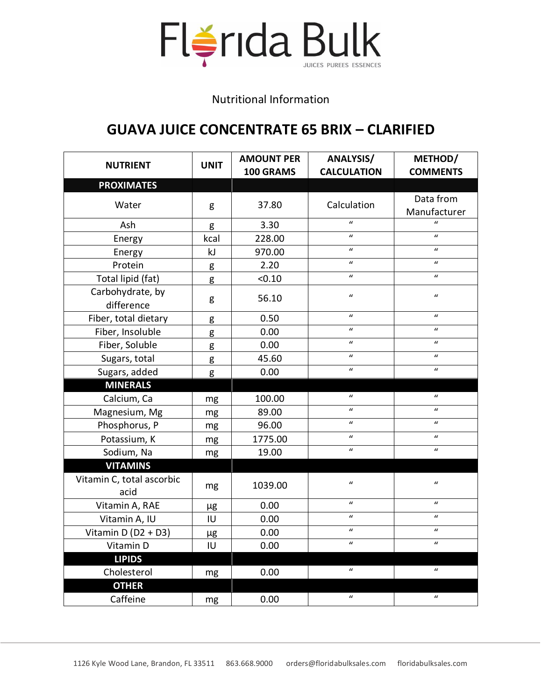

## Nutritional Information

## **GUAVA JUICE CONCENTRATE 65 BRIX – CLARIFIED**

| <b>NUTRIENT</b>                   | <b>UNIT</b> | <b>AMOUNT PER</b><br>100 GRAMS | <b>ANALYSIS/</b><br><b>CALCULATION</b> | METHOD/<br><b>COMMENTS</b> |
|-----------------------------------|-------------|--------------------------------|----------------------------------------|----------------------------|
| <b>PROXIMATES</b>                 |             |                                |                                        |                            |
| Water                             | g           | 37.80                          | Calculation                            | Data from<br>Manufacturer  |
| Ash                               | g           | 3.30                           | $\mathbf{u}$                           | $\mathbf{u}$               |
| Energy                            | kcal        | 228.00                         | $\boldsymbol{u}$                       | $\mathbf{u}$               |
| Energy                            | kJ          | 970.00                         | $\boldsymbol{u}$                       | $\mathbf{u}$               |
| Protein                           | g           | 2.20                           | $\boldsymbol{u}$                       | $\mathbf{u}$               |
| Total lipid (fat)                 | g           | < 0.10                         | $\boldsymbol{u}$                       | $\mathbf{u}$               |
| Carbohydrate, by<br>difference    | g           | 56.10                          | $\boldsymbol{u}$                       | $\boldsymbol{u}$           |
| Fiber, total dietary              | g           | 0.50                           | $\mathbf{u}$                           | $\mathbf{u}$               |
| Fiber, Insoluble                  | g           | 0.00                           | $\boldsymbol{u}$                       | $\boldsymbol{u}$           |
| Fiber, Soluble                    | g           | 0.00                           | $\boldsymbol{u}$                       | $\boldsymbol{u}$           |
| Sugars, total                     | g           | 45.60                          | $\mathbf{u}$                           | $\mathbf{u}$               |
| Sugars, added                     | g           | 0.00                           | $\boldsymbol{u}$                       | $\boldsymbol{u}$           |
| <b>MINERALS</b>                   |             |                                |                                        |                            |
| Calcium, Ca                       | mg          | 100.00                         | $\boldsymbol{u}$                       | $\boldsymbol{u}$           |
| Magnesium, Mg                     | mg          | 89.00                          | $\boldsymbol{u}$                       | $\boldsymbol{u}$           |
| Phosphorus, P                     | mg          | 96.00                          | $\mathbf{u}$                           | $\mathbf{u}$               |
| Potassium, K                      | mg          | 1775.00                        | $\boldsymbol{u}$                       | $\boldsymbol{u}$           |
| Sodium, Na                        | mg          | 19.00                          | $\boldsymbol{u}$                       | $\boldsymbol{u}$           |
| <b>VITAMINS</b>                   |             |                                |                                        |                            |
| Vitamin C, total ascorbic<br>acid | mg          | 1039.00                        | $\boldsymbol{u}$                       | $\boldsymbol{u}$           |
| Vitamin A, RAE                    | μg          | 0.00                           | $\boldsymbol{u}$                       | $\boldsymbol{u}$           |
| Vitamin A, IU                     | IU          | 0.00                           | $\boldsymbol{u}$                       | $\mathbf{u}$               |
| Vitamin $D(D2 + D3)$              | μg          | 0.00                           | $\boldsymbol{u}$                       | $\boldsymbol{u}$           |
| Vitamin D                         | IU          | 0.00                           | $\boldsymbol{u}$                       | $\boldsymbol{u}$           |
| <b>LIPIDS</b>                     |             |                                |                                        |                            |
| Cholesterol                       | mg          | 0.00                           | $\boldsymbol{u}$                       | $\boldsymbol{u}$           |
| <b>OTHER</b>                      |             |                                |                                        |                            |
| Caffeine                          | mg          | 0.00                           | $\boldsymbol{u}$                       | $\boldsymbol{u}$           |